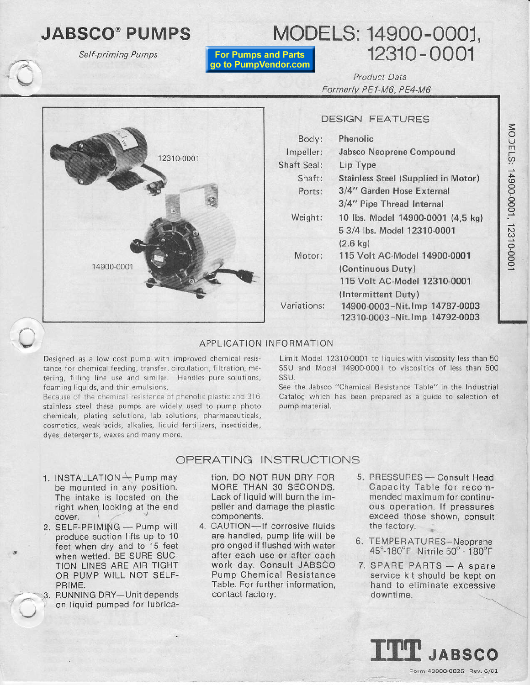# **JABSCO® PUMPS**

Self-priming Pumps

**For Pumps and Parts** go to PumpVendor.com

# MODELS: 14900-0001, 12310-0001

Product Data Formerly PE1-M6, PE4-M6

### **DESIGN FEATURES**



#### APPLICATION INFORMATION

Designed as a low cost pump with improved chemical resistance for chemical feeding, transfer, circulation, filtration, metering, filling line use and similar. Handles pure solutions, foaming liquids, and thin emulsions.

Because of the chemical resistance of phenolic plastic and 316 stainless steel these pumps are widely used to pump photo chemicals, plating solutions, lab solutions, pharmaceuticals, cosmetics, weak acids, alkalies, liquid fertilizers, insecticides, dyes, detergents, waxes and many more.

Limit Model 12310-0001 to liquids with viscosity less than 50 SSU and Model 14900-0001 to viscositics of less than 500 SSU.

See the Jabsco "Chemical Resistance Table" in the Industrial Catalog which has been prepared as a guide to selection of pump material.

### OPERATING INSTRUCTIONS

- 1. INSTALLATION  $\rightarrow$  Pump may be mounted in any position. The intake is located on the right when looking at the end cover.
- 2. SELF-PRIMING Pump will produce suction lifts up to 10 feet when dry and to 15 feet when wetted. BE SURE SUC-TION LINES ARE AIR TIGHT OR PUMP WILL NOT SELF-PRIME.
- 3. RUNNING DRY-Unit depends on liquid pumped for lubrica-

tion. DO NOT RUN DRY FOR MORE THAN 30 SECONDS. Lack of liquid will burn the impeller and damage the plastic components.

- 4. CAUTION-If corrosive fluids are handled, pump life will be prolonged if flushed with water after each use or after each work day. Consult JABSCO Pump Chemical Resistance Table. For further information, contact factory.
- 5. PRESSURES Consult Head Capacity Table for recommended maximum for continuous operation. If pressures exceed those shown, consult the factory.
- 6. TEMPERATURES-Neoprene 45°-180°F Nitrile 50° - 180°F
- 7. SPARE PARTS A spare service kit should be kept on hand to eliminate excessive downtime.